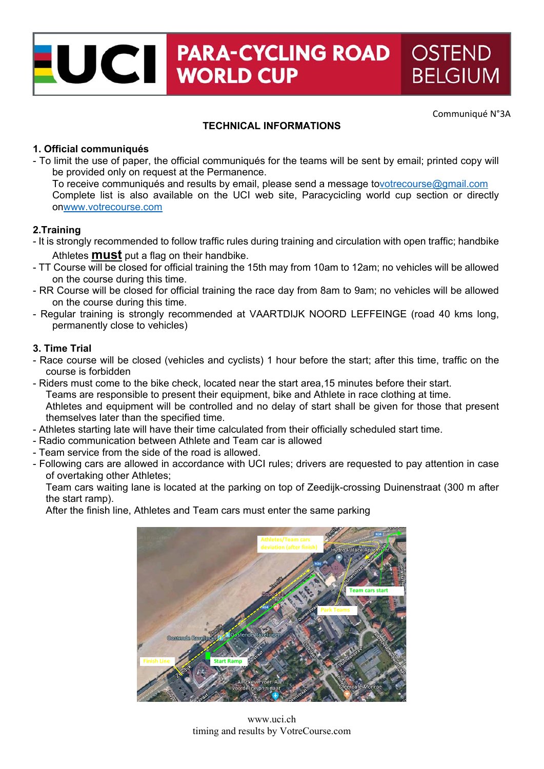# UCI PARA-CYCLII **PARA-CYCLING ROAD OSTEND BELGIUM**

Communiqué N°3A

# **TECHNICAL INFORMATIONS**

# **1. Official communiqués**

- To limit the use of paper, the official communiqués for the teams will be sent by email; printed copy will be provided only on request at the Permanence.

To receive communiqués and results by email, please send a message tovotrecourse@gmail.com Complete list is also available on the UCI web site, Paracycicling world cup section or directly onwww.votrecourse.com

# **2.Training**

- It is strongly recommended to follow traffic rules during training and circulation with open traffic; handbike Athletes **must** put a flag on their handbike.
- TT Course will be closed for official training the 15th may from 10am to 12am; no vehicles will be allowed on the course during this time.
- RR Course will be closed for official training the race day from 8am to 9am; no vehicles will be allowed on the course during this time.
- Regular training is strongly recommended at VAARTDIJK NOORD LEFFEINGE (road 40 kms long, permanently close to vehicles)

#### **3. Time Trial**

- Race course will be closed (vehicles and cyclists) 1 hour before the start; after this time, traffic on the course is forbidden
- Riders must come to the bike check, located near the start area,15 minutes before their start. Teams are responsible to present their equipment, bike and Athlete in race clothing at time. Athletes and equipment will be controlled and no delay of start shall be given for those that present themselves later than the specified time.
- Athletes starting late will have their time calculated from their officially scheduled start time.
- Radio communication between Athlete and Team car is allowed
- Team service from the side of the road is allowed.
- Following cars are allowed in accordance with UCI rules; drivers are requested to pay attention in case of overtaking other Athletes;

Team cars waiting lane is located at the parking on top of Zeedijk-crossing Duinenstraat (300 m after the start ramp).

After the finish line, Athletes and Team cars must enter the same parking



www.uci.ch timing and results by VotreCourse.com